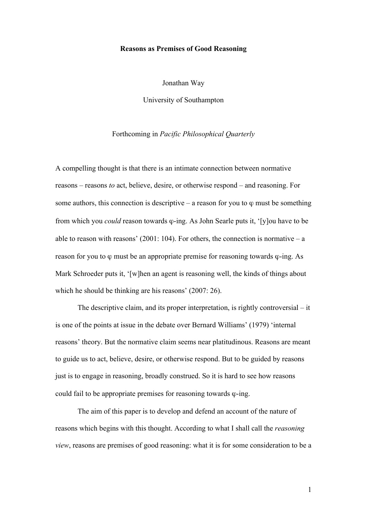#### **Reasons as Premises of Good Reasoning**

Jonathan Way

University of Southampton

Forthcoming in *Pacific Philosophical Quarterly*

A compelling thought is that there is an intimate connection between normative reasons – reasons *to* act, believe, desire, or otherwise respond – and reasoning. For some authors, this connection is descriptive – a reason for you to  $\varphi$  must be something from which you *could* reason towards ω-ing. As John Searle puts it, '[y] ou have to be able to reason with reasons' (2001: 104). For others, the connection is normative – a reason for you to  $\varphi$  must be an appropriate premise for reasoning towards  $\varphi$ -ing. As Mark Schroeder puts it, '[w]hen an agent is reasoning well, the kinds of things about which he should be thinking are his reasons' (2007: 26).

The descriptive claim, and its proper interpretation, is rightly controversial – it is one of the points at issue in the debate over Bernard Williams' (1979) 'internal reasons' theory. But the normative claim seems near platitudinous. Reasons are meant to guide us to act, believe, desire, or otherwise respond. But to be guided by reasons just is to engage in reasoning, broadly construed. So it is hard to see how reasons could fail to be appropriate premises for reasoning towards  $\varphi$ -ing.

The aim of this paper is to develop and defend an account of the nature of reasons which begins with this thought. According to what I shall call the *reasoning view*, reasons are premises of good reasoning: what it is for some consideration to be a

1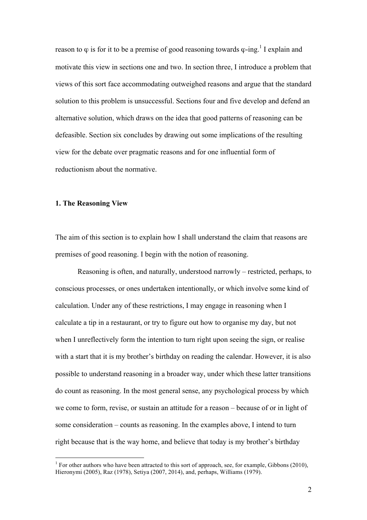reason to  $\varphi$  is for it to be a premise of good reasoning towards  $\varphi$ -ing.<sup>1</sup> I explain and motivate this view in sections one and two. In section three, I introduce a problem that views of this sort face accommodating outweighed reasons and argue that the standard solution to this problem is unsuccessful. Sections four and five develop and defend an alternative solution, which draws on the idea that good patterns of reasoning can be defeasible. Section six concludes by drawing out some implications of the resulting view for the debate over pragmatic reasons and for one influential form of reductionism about the normative.

### **1. The Reasoning View**

The aim of this section is to explain how I shall understand the claim that reasons are premises of good reasoning. I begin with the notion of reasoning.

Reasoning is often, and naturally, understood narrowly – restricted, perhaps, to conscious processes, or ones undertaken intentionally, or which involve some kind of calculation. Under any of these restrictions, I may engage in reasoning when I calculate a tip in a restaurant, or try to figure out how to organise my day, but not when I unreflectively form the intention to turn right upon seeing the sign, or realise with a start that it is my brother's birthday on reading the calendar. However, it is also possible to understand reasoning in a broader way, under which these latter transitions do count as reasoning. In the most general sense, any psychological process by which we come to form, revise, or sustain an attitude for a reason – because of or in light of some consideration – counts as reasoning. In the examples above, I intend to turn right because that is the way home, and believe that today is my brother's birthday

<sup>&</sup>lt;sup>1</sup> For other authors who have been attracted to this sort of approach, see, for example, Gibbons (2010), Hieronymi (2005), Raz (1978), Setiya (2007, 2014), and, perhaps, Williams (1979).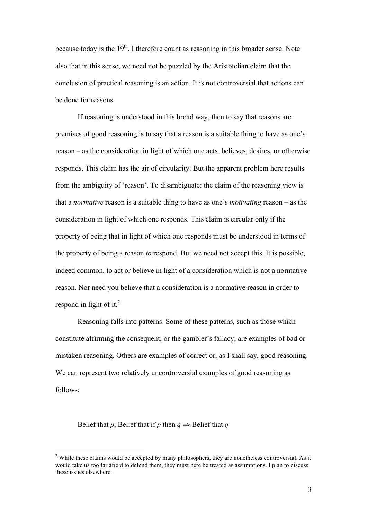because today is the  $19<sup>th</sup>$ . I therefore count as reasoning in this broader sense. Note also that in this sense, we need not be puzzled by the Aristotelian claim that the conclusion of practical reasoning is an action. It is not controversial that actions can be done for reasons.

If reasoning is understood in this broad way, then to say that reasons are premises of good reasoning is to say that a reason is a suitable thing to have as one's reason – as the consideration in light of which one acts, believes, desires, or otherwise responds. This claim has the air of circularity. But the apparent problem here results from the ambiguity of 'reason'. To disambiguate: the claim of the reasoning view is that a *normative* reason is a suitable thing to have as one's *motivating* reason – as the consideration in light of which one responds. This claim is circular only if the property of being that in light of which one responds must be understood in terms of the property of being a reason *to* respond. But we need not accept this. It is possible, indeed common, to act or believe in light of a consideration which is not a normative reason. Nor need you believe that a consideration is a normative reason in order to respond in light of it. $^{2}$ 

Reasoning falls into patterns. Some of these patterns, such as those which constitute affirming the consequent, or the gambler's fallacy, are examples of bad or mistaken reasoning. Others are examples of correct or, as I shall say, good reasoning. We can represent two relatively uncontroversial examples of good reasoning as follows:

Belief that *p*, Belief that if *p* then  $q \Rightarrow$  Belief that *q* 

 $<sup>2</sup>$  While these claims would be accepted by many philosophers, they are nonetheless controversial. As it</sup> would take us too far afield to defend them, they must here be treated as assumptions. I plan to discuss these issues elsewhere.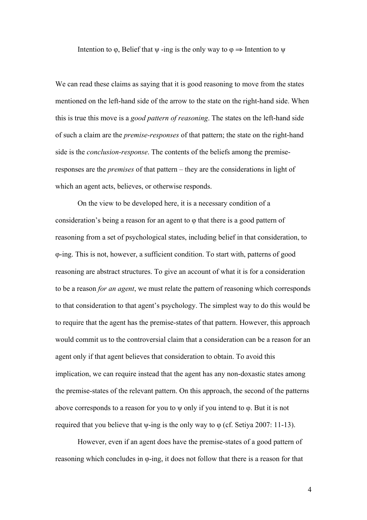Intention to  $\varphi$ , Belief that  $\psi$  -ing is the only way to  $\varphi \Rightarrow$  Intention to  $\psi$ 

We can read these claims as saying that it is good reasoning to move from the states mentioned on the left-hand side of the arrow to the state on the right-hand side. When this is true this move is a *good pattern of reasoning*. The states on the left-hand side of such a claim are the *premise-responses* of that pattern; the state on the right-hand side is the *conclusion-response*. The contents of the beliefs among the premiseresponses are the *premises* of that pattern – they are the considerations in light of which an agent acts, believes, or otherwise responds.

On the view to be developed here, it is a necessary condition of a consideration's being a reason for an agent to φ that there is a good pattern of reasoning from a set of psychological states, including belief in that consideration, to φ-ing. This is not, however, a sufficient condition. To start with, patterns of good reasoning are abstract structures. To give an account of what it is for a consideration to be a reason *for an agent*, we must relate the pattern of reasoning which corresponds to that consideration to that agent's psychology. The simplest way to do this would be to require that the agent has the premise-states of that pattern. However, this approach would commit us to the controversial claim that a consideration can be a reason for an agent only if that agent believes that consideration to obtain. To avoid this implication, we can require instead that the agent has any non-doxastic states among the premise-states of the relevant pattern. On this approach, the second of the patterns above corresponds to a reason for you to ψ only if you intend to φ. But it is not required that you believe that  $\psi$ -ing is the only way to  $\varphi$  (cf. Setiya 2007: 11-13).

However, even if an agent does have the premise-states of a good pattern of reasoning which concludes in φ-ing, it does not follow that there is a reason for that

4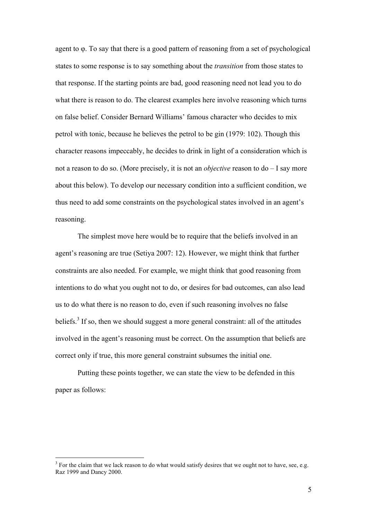agent to φ. To say that there is a good pattern of reasoning from a set of psychological states to some response is to say something about the *transition* from those states to that response. If the starting points are bad, good reasoning need not lead you to do what there is reason to do. The clearest examples here involve reasoning which turns on false belief. Consider Bernard Williams' famous character who decides to mix petrol with tonic, because he believes the petrol to be gin (1979: 102). Though this character reasons impeccably, he decides to drink in light of a consideration which is not a reason to do so. (More precisely, it is not an *objective* reason to do – I say more about this below). To develop our necessary condition into a sufficient condition, we thus need to add some constraints on the psychological states involved in an agent's reasoning.

The simplest move here would be to require that the beliefs involved in an agent's reasoning are true (Setiya 2007: 12). However, we might think that further constraints are also needed. For example, we might think that good reasoning from intentions to do what you ought not to do, or desires for bad outcomes, can also lead us to do what there is no reason to do, even if such reasoning involves no false beliefs.<sup>3</sup> If so, then we should suggest a more general constraint: all of the attitudes involved in the agent's reasoning must be correct. On the assumption that beliefs are correct only if true, this more general constraint subsumes the initial one.

Putting these points together, we can state the view to be defended in this paper as follows:

<sup>&</sup>lt;sup>3</sup> For the claim that we lack reason to do what would satisfy desires that we ought not to have, see, e.g. Raz 1999 and Dancy 2000.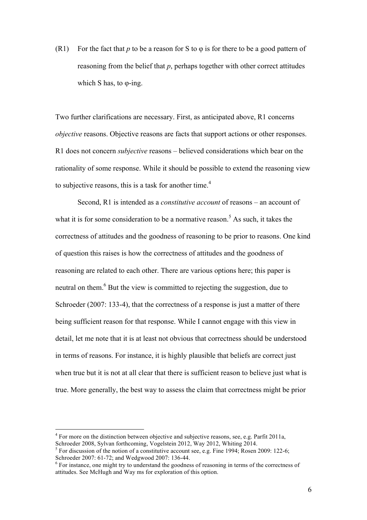(R1) For the fact that *p* to be a reason for S to  $\varphi$  is for there to be a good pattern of reasoning from the belief that *p*, perhaps together with other correct attitudes which S has, to φ-ing.

Two further clarifications are necessary. First, as anticipated above, R1 concerns *objective* reasons. Objective reasons are facts that support actions or other responses. R1 does not concern *subjective* reasons – believed considerations which bear on the rationality of some response. While it should be possible to extend the reasoning view to subjective reasons, this is a task for another time.<sup>4</sup>

Second, R1 is intended as a *constitutive account* of reasons – an account of what it is for some consideration to be a normative reason.<sup>5</sup> As such, it takes the correctness of attitudes and the goodness of reasoning to be prior to reasons. One kind of question this raises is how the correctness of attitudes and the goodness of reasoning are related to each other. There are various options here; this paper is neutral on them.<sup>6</sup> But the view is committed to rejecting the suggestion, due to Schroeder (2007: 133-4), that the correctness of a response is just a matter of there being sufficient reason for that response. While I cannot engage with this view in detail, let me note that it is at least not obvious that correctness should be understood in terms of reasons. For instance, it is highly plausible that beliefs are correct just when true but it is not at all clear that there is sufficient reason to believe just what is true. More generally, the best way to assess the claim that correctness might be prior

<sup>&</sup>lt;sup>4</sup> For more on the distinction between objective and subjective reasons, see, e.g. Parfit 2011a,

Schroeder 2008, Sylvan forthcoming, Vogelstein 2012, Way 2012, Whiting 2014.<br><sup>5</sup> For discussion of the notion of a constitutive account see, e.g. Fine 1994; Rosen 2009: 122-6; Schroeder 2007: 61-72: and Wedgwood 2007: 136-

 $<sup>6</sup>$  For instance, one might try to understand the goodness of reasoning in terms of the correctness of</sup> attitudes. See McHugh and Way ms for exploration of this option.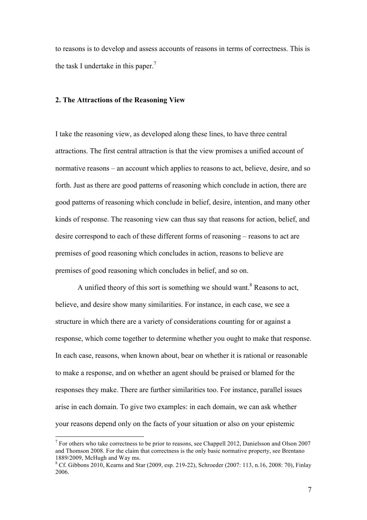to reasons is to develop and assess accounts of reasons in terms of correctness. This is the task I undertake in this paper.<sup>7</sup>

#### **2. The Attractions of the Reasoning View**

I take the reasoning view, as developed along these lines, to have three central attractions. The first central attraction is that the view promises a unified account of normative reasons – an account which applies to reasons to act, believe, desire, and so forth. Just as there are good patterns of reasoning which conclude in action, there are good patterns of reasoning which conclude in belief, desire, intention, and many other kinds of response. The reasoning view can thus say that reasons for action, belief, and desire correspond to each of these different forms of reasoning – reasons to act are premises of good reasoning which concludes in action, reasons to believe are premises of good reasoning which concludes in belief, and so on.

A unified theory of this sort is something we should want.<sup>8</sup> Reasons to act, believe, and desire show many similarities. For instance, in each case, we see a structure in which there are a variety of considerations counting for or against a response, which come together to determine whether you ought to make that response. In each case, reasons, when known about, bear on whether it is rational or reasonable to make a response, and on whether an agent should be praised or blamed for the responses they make. There are further similarities too. For instance, parallel issues arise in each domain. To give two examples: in each domain, we can ask whether your reasons depend only on the facts of your situation or also on your epistemic

 $<sup>7</sup>$  For others who take correctness to be prior to reasons, see Chappell 2012, Danielsson and Olson 2007</sup> and Thomson 2008. For the claim that correctness is the only basic normative property, see Brentano 1889/2009, McHugh and Way ms.<br><sup>8</sup> Cf. Gibbons 2010, Kearns and Star (2009, esp. 219-22), Schroeder (2007: 113, n.16, 2008: 70), Finlay

<sup>2006.</sup>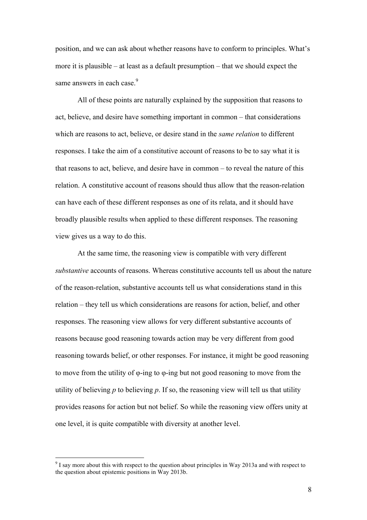position, and we can ask about whether reasons have to conform to principles. What's more it is plausible – at least as a default presumption – that we should expect the same answers in each case  $9$ 

All of these points are naturally explained by the supposition that reasons to act, believe, and desire have something important in common – that considerations which are reasons to act, believe, or desire stand in the *same relation* to different responses. I take the aim of a constitutive account of reasons to be to say what it is that reasons to act, believe, and desire have in common – to reveal the nature of this relation. A constitutive account of reasons should thus allow that the reason-relation can have each of these different responses as one of its relata, and it should have broadly plausible results when applied to these different responses. The reasoning view gives us a way to do this.

At the same time, the reasoning view is compatible with very different *substantive* accounts of reasons. Whereas constitutive accounts tell us about the nature of the reason-relation, substantive accounts tell us what considerations stand in this relation – they tell us which considerations are reasons for action, belief, and other responses. The reasoning view allows for very different substantive accounts of reasons because good reasoning towards action may be very different from good reasoning towards belief, or other responses. For instance, it might be good reasoning to move from the utility of φ-ing to φ-ing but not good reasoning to move from the utility of believing  $p$  to believing  $p$ . If so, the reasoning view will tell us that utility provides reasons for action but not belief. So while the reasoning view offers unity at one level, it is quite compatible with diversity at another level.

 <sup>9</sup> I say more about this with respect to the question about principles in Way 2013a and with respect to the question about epistemic positions in Way 2013b.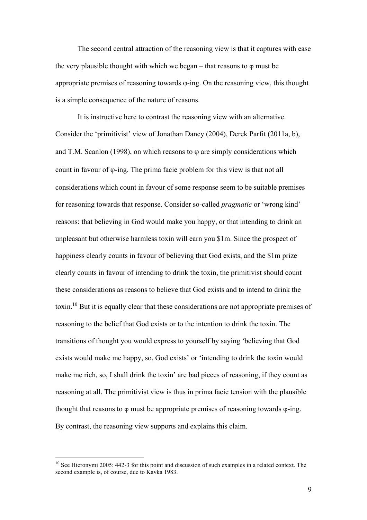The second central attraction of the reasoning view is that it captures with ease the very plausible thought with which we began – that reasons to  $\varphi$  must be appropriate premises of reasoning towards φ-ing. On the reasoning view, this thought is a simple consequence of the nature of reasons.

It is instructive here to contrast the reasoning view with an alternative. Consider the 'primitivist' view of Jonathan Dancy (2004), Derek Parfit (2011a, b), and T.M. Scanlon (1998), on which reasons to  $\varphi$  are simply considerations which count in favour of  $\varphi$ -ing. The prima facie problem for this view is that not all considerations which count in favour of some response seem to be suitable premises for reasoning towards that response. Consider so-called *pragmatic* or 'wrong kind' reasons: that believing in God would make you happy, or that intending to drink an unpleasant but otherwise harmless toxin will earn you \$1m. Since the prospect of happiness clearly counts in favour of believing that God exists, and the \$1m prize clearly counts in favour of intending to drink the toxin, the primitivist should count these considerations as reasons to believe that God exists and to intend to drink the toxin.10 But it is equally clear that these considerations are not appropriate premises of reasoning to the belief that God exists or to the intention to drink the toxin. The transitions of thought you would express to yourself by saying 'believing that God exists would make me happy, so, God exists' or 'intending to drink the toxin would make me rich, so, I shall drink the toxin' are bad pieces of reasoning, if they count as reasoning at all. The primitivist view is thus in prima facie tension with the plausible thought that reasons to φ must be appropriate premises of reasoning towards φ-ing. By contrast, the reasoning view supports and explains this claim.

 $10$  See Hieronymi 2005: 442-3 for this point and discussion of such examples in a related context. The second example is, of course, due to Kavka 1983.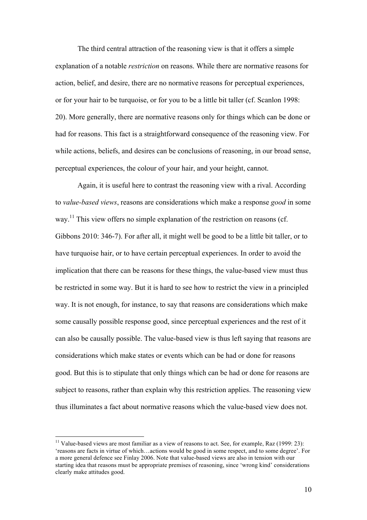The third central attraction of the reasoning view is that it offers a simple explanation of a notable *restriction* on reasons. While there are normative reasons for action, belief, and desire, there are no normative reasons for perceptual experiences, or for your hair to be turquoise, or for you to be a little bit taller (cf. Scanlon 1998: 20). More generally, there are normative reasons only for things which can be done or had for reasons. This fact is a straightforward consequence of the reasoning view. For while actions, beliefs, and desires can be conclusions of reasoning, in our broad sense, perceptual experiences, the colour of your hair, and your height, cannot.

Again, it is useful here to contrast the reasoning view with a rival. According to *value-based views*, reasons are considerations which make a response *good* in some way.<sup>11</sup> This view offers no simple explanation of the restriction on reasons (cf. Gibbons 2010: 346-7). For after all, it might well be good to be a little bit taller, or to have turquoise hair, or to have certain perceptual experiences. In order to avoid the implication that there can be reasons for these things, the value-based view must thus be restricted in some way. But it is hard to see how to restrict the view in a principled way. It is not enough, for instance, to say that reasons are considerations which make some causally possible response good, since perceptual experiences and the rest of it can also be causally possible. The value-based view is thus left saying that reasons are considerations which make states or events which can be had or done for reasons good. But this is to stipulate that only things which can be had or done for reasons are subject to reasons, rather than explain why this restriction applies. The reasoning view thus illuminates a fact about normative reasons which the value-based view does not.

 $11$  Value-based views are most familiar as a view of reasons to act. See, for example, Raz (1999: 23): 'reasons are facts in virtue of which…actions would be good in some respect, and to some degree'. For a more general defence see Finlay 2006. Note that value-based views are also in tension with our starting idea that reasons must be appropriate premises of reasoning, since 'wrong kind' considerations clearly make attitudes good.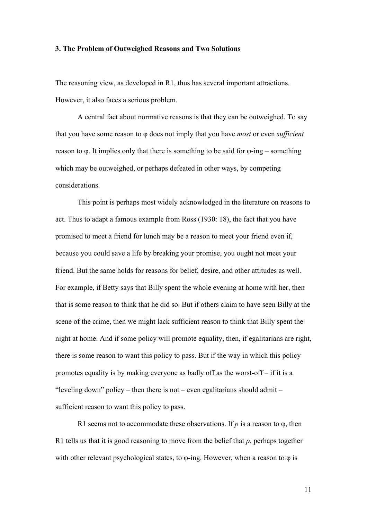#### **3. The Problem of Outweighed Reasons and Two Solutions**

The reasoning view, as developed in R1, thus has several important attractions. However, it also faces a serious problem.

A central fact about normative reasons is that they can be outweighed. To say that you have some reason to φ does not imply that you have *most* or even *sufficient* reason to φ. It implies only that there is something to be said for φ-ing – something which may be outweighed, or perhaps defeated in other ways, by competing considerations.

This point is perhaps most widely acknowledged in the literature on reasons to act. Thus to adapt a famous example from Ross (1930: 18), the fact that you have promised to meet a friend for lunch may be a reason to meet your friend even if, because you could save a life by breaking your promise, you ought not meet your friend. But the same holds for reasons for belief, desire, and other attitudes as well. For example, if Betty says that Billy spent the whole evening at home with her, then that is some reason to think that he did so. But if others claim to have seen Billy at the scene of the crime, then we might lack sufficient reason to think that Billy spent the night at home. And if some policy will promote equality, then, if egalitarians are right, there is some reason to want this policy to pass. But if the way in which this policy promotes equality is by making everyone as badly off as the worst-off – if it is a "leveling down" policy – then there is not – even egalitarians should admit – sufficient reason to want this policy to pass.

R1 seems not to accommodate these observations. If  $p$  is a reason to  $\varphi$ , then R1 tells us that it is good reasoning to move from the belief that *p*, perhaps together with other relevant psychological states, to  $\varphi$ -ing. However, when a reason to  $\varphi$  is

11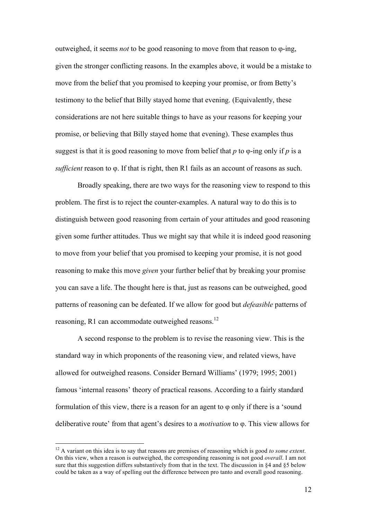outweighed, it seems *not* to be good reasoning to move from that reason to φ-ing, given the stronger conflicting reasons. In the examples above, it would be a mistake to move from the belief that you promised to keeping your promise, or from Betty's testimony to the belief that Billy stayed home that evening. (Equivalently, these considerations are not here suitable things to have as your reasons for keeping your promise, or believing that Billy stayed home that evening). These examples thus suggest is that it is good reasoning to move from belief that *p* to φ-ing only if *p* is a *sufficient* reason to φ. If that is right, then R1 fails as an account of reasons as such.

Broadly speaking, there are two ways for the reasoning view to respond to this problem. The first is to reject the counter-examples. A natural way to do this is to distinguish between good reasoning from certain of your attitudes and good reasoning given some further attitudes. Thus we might say that while it is indeed good reasoning to move from your belief that you promised to keeping your promise, it is not good reasoning to make this move *given* your further belief that by breaking your promise you can save a life. The thought here is that, just as reasons can be outweighed, good patterns of reasoning can be defeated. If we allow for good but *defeasible* patterns of reasoning, R1 can accommodate outweighed reasons.<sup>12</sup>

A second response to the problem is to revise the reasoning view. This is the standard way in which proponents of the reasoning view, and related views, have allowed for outweighed reasons. Consider Bernard Williams' (1979; 1995; 2001) famous 'internal reasons' theory of practical reasons. According to a fairly standard formulation of this view, there is a reason for an agent to φ only if there is a 'sound deliberative route' from that agent's desires to a *motivation* to φ. This view allows for

 <sup>12</sup> A variant on this idea is to say that reasons are premises of reasoning which is good *to some extent*. On this view, when a reason is outweighed, the corresponding reasoning is not good *overall*. I am not sure that this suggestion differs substantively from that in the text. The discussion in §4 and §5 below could be taken as a way of spelling out the difference between pro tanto and overall good reasoning.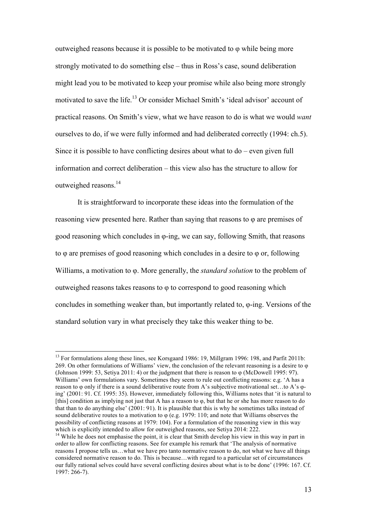outweighed reasons because it is possible to be motivated to φ while being more strongly motivated to do something else – thus in Ross's case, sound deliberation might lead you to be motivated to keep your promise while also being more strongly motivated to save the life.<sup>13</sup> Or consider Michael Smith's 'ideal advisor' account of practical reasons. On Smith's view, what we have reason to do is what we would *want* ourselves to do, if we were fully informed and had deliberated correctly (1994: ch.5). Since it is possible to have conflicting desires about what to do – even given full information and correct deliberation – this view also has the structure to allow for outweighed reasons.<sup>14</sup>

It is straightforward to incorporate these ideas into the formulation of the reasoning view presented here. Rather than saying that reasons to φ are premises of good reasoning which concludes in φ-ing, we can say, following Smith, that reasons to φ are premises of good reasoning which concludes in a desire to φ or, following Williams, a motivation to φ. More generally, the *standard solution* to the problem of outweighed reasons takes reasons to φ to correspond to good reasoning which concludes in something weaker than, but importantly related to, φ-ing. Versions of the standard solution vary in what precisely they take this weaker thing to be.

<sup>&</sup>lt;sup>13</sup> For formulations along these lines, see Korsgaard 1986: 19, Millgram 1996: 198, and Parfit 2011b: 269. On other formulations of Williams' view, the conclusion of the relevant reasoning is a desire to φ (Johnson 1999: 53, Setiya 2011: 4) or the judgment that there is reason to φ (McDowell 1995: 97). Williams' own formulations vary. Sometimes they seem to rule out conflicting reasons: e.g. 'A has a reason to φ only if there is a sound deliberative route from A's subjective motivational set…to A's φing' (2001: 91. Cf. 1995: 35). However, immediately following this, Williams notes that 'it is natural to [this] condition as implying not just that A has a reason to φ, but that he or she has more reason to do that than to do anything else' (2001: 91). It is plausible that this is why he sometimes talks instead of sound deliberative routes to a motivation to φ (e.g. 1979: 110; and note that Williams observes the possibility of conflicting reasons at 1979: 104). For a formulation of the reasoning view in this way which is explicitly intended to allow for outweighed reasons, see Setiya 2014: 222.<br><sup>14</sup> While he does not emphasise the point, it is clear that Smith develop his view in this way in part in

order to allow for conflicting reasons. See for example his remark that 'The analysis of normative reasons I propose tells us…what we have pro tanto normative reason to do, not what we have all things considered normative reason to do. This is because…with regard to a particular set of circumstances our fully rational selves could have several conflicting desires about what is to be done' (1996: 167. Cf. 1997: 266-7).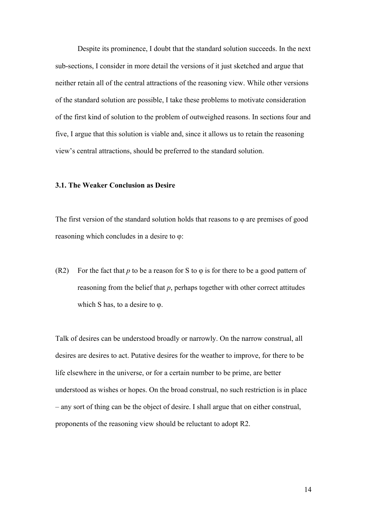Despite its prominence, I doubt that the standard solution succeeds. In the next sub-sections, I consider in more detail the versions of it just sketched and argue that neither retain all of the central attractions of the reasoning view. While other versions of the standard solution are possible, I take these problems to motivate consideration of the first kind of solution to the problem of outweighed reasons. In sections four and five, I argue that this solution is viable and, since it allows us to retain the reasoning view's central attractions, should be preferred to the standard solution.

#### **3.1. The Weaker Conclusion as Desire**

The first version of the standard solution holds that reasons to φ are premises of good reasoning which concludes in a desire to φ:

(R2) For the fact that *p* to be a reason for S to  $\varphi$  is for there to be a good pattern of reasoning from the belief that *p*, perhaps together with other correct attitudes which S has, to a desire to φ.

Talk of desires can be understood broadly or narrowly. On the narrow construal, all desires are desires to act. Putative desires for the weather to improve, for there to be life elsewhere in the universe, or for a certain number to be prime, are better understood as wishes or hopes. On the broad construal, no such restriction is in place – any sort of thing can be the object of desire. I shall argue that on either construal, proponents of the reasoning view should be reluctant to adopt R2.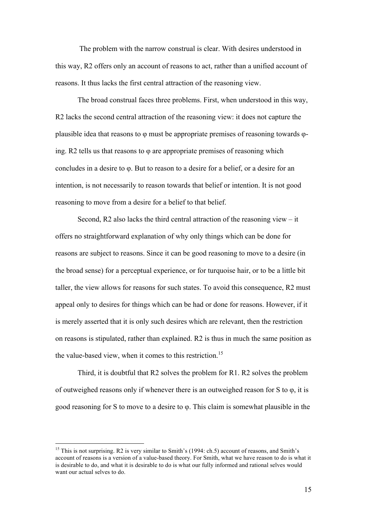The problem with the narrow construal is clear. With desires understood in this way, R2 offers only an account of reasons to act, rather than a unified account of reasons. It thus lacks the first central attraction of the reasoning view.

The broad construal faces three problems. First, when understood in this way, R2 lacks the second central attraction of the reasoning view: it does not capture the plausible idea that reasons to φ must be appropriate premises of reasoning towards φing. R2 tells us that reasons to φ are appropriate premises of reasoning which concludes in a desire to φ. But to reason to a desire for a belief, or a desire for an intention, is not necessarily to reason towards that belief or intention. It is not good reasoning to move from a desire for a belief to that belief.

Second, R2 also lacks the third central attraction of the reasoning view  $-$  it offers no straightforward explanation of why only things which can be done for reasons are subject to reasons. Since it can be good reasoning to move to a desire (in the broad sense) for a perceptual experience, or for turquoise hair, or to be a little bit taller, the view allows for reasons for such states. To avoid this consequence, R2 must appeal only to desires for things which can be had or done for reasons. However, if it is merely asserted that it is only such desires which are relevant, then the restriction on reasons is stipulated, rather than explained. R2 is thus in much the same position as the value-based view, when it comes to this restriction.<sup>15</sup>

Third, it is doubtful that R2 solves the problem for R1. R2 solves the problem of outweighed reasons only if whenever there is an outweighed reason for S to φ, it is good reasoning for S to move to a desire to φ. This claim is somewhat plausible in the

<sup>&</sup>lt;sup>15</sup> This is not surprising. R2 is very similar to Smith's (1994: ch.5) account of reasons, and Smith's account of reasons is a version of a value-based theory. For Smith, what we have reason to do is what it is desirable to do, and what it is desirable to do is what our fully informed and rational selves would want our actual selves to do.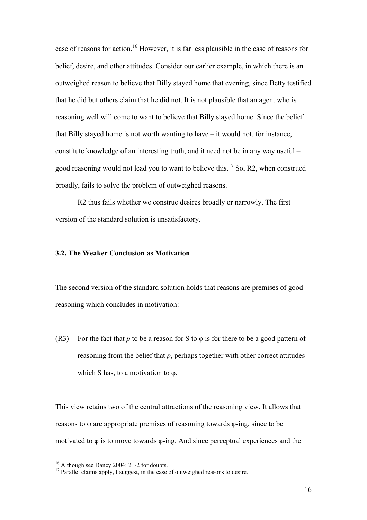case of reasons for action.<sup>16</sup> However, it is far less plausible in the case of reasons for belief, desire, and other attitudes. Consider our earlier example, in which there is an outweighed reason to believe that Billy stayed home that evening, since Betty testified that he did but others claim that he did not. It is not plausible that an agent who is reasoning well will come to want to believe that Billy stayed home. Since the belief that Billy stayed home is not worth wanting to have – it would not, for instance, constitute knowledge of an interesting truth, and it need not be in any way useful – good reasoning would not lead you to want to believe this.<sup>17</sup> So, R2, when construed broadly, fails to solve the problem of outweighed reasons.

R2 thus fails whether we construe desires broadly or narrowly. The first version of the standard solution is unsatisfactory.

## **3.2. The Weaker Conclusion as Motivation**

The second version of the standard solution holds that reasons are premises of good reasoning which concludes in motivation:

(R3) For the fact that  $p$  to be a reason for S to  $\varphi$  is for there to be a good pattern of reasoning from the belief that *p*, perhaps together with other correct attitudes which S has, to a motivation to φ.

This view retains two of the central attractions of the reasoning view. It allows that reasons to φ are appropriate premises of reasoning towards φ-ing, since to be motivated to  $\varphi$  is to move towards  $\varphi$ -ing. And since perceptual experiences and the

<sup>&</sup>lt;sup>16</sup> Although see Dancy 2004: 21-2 for doubts.  $17$  Parallel claims apply, I suggest, in the case of outweighed reasons to desire.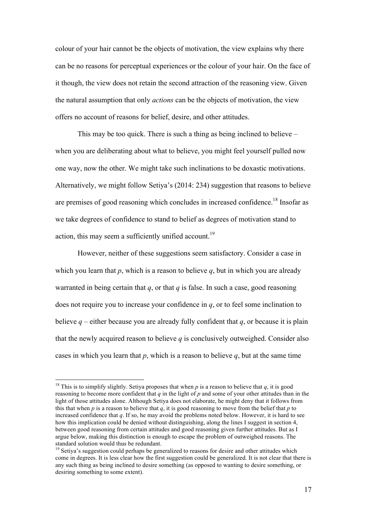colour of your hair cannot be the objects of motivation, the view explains why there can be no reasons for perceptual experiences or the colour of your hair. On the face of it though, the view does not retain the second attraction of the reasoning view. Given the natural assumption that only *actions* can be the objects of motivation, the view offers no account of reasons for belief, desire, and other attitudes.

This may be too quick. There is such a thing as being inclined to believe – when you are deliberating about what to believe, you might feel yourself pulled now one way, now the other. We might take such inclinations to be doxastic motivations. Alternatively, we might follow Setiya's (2014: 234) suggestion that reasons to believe are premises of good reasoning which concludes in increased confidence.<sup>18</sup> Insofar as we take degrees of confidence to stand to belief as degrees of motivation stand to action, this may seem a sufficiently unified account.<sup>19</sup>

However, neither of these suggestions seem satisfactory. Consider a case in which you learn that  $p$ , which is a reason to believe  $q$ , but in which you are already warranted in being certain that  $q$ , or that  $q$  is false. In such a case, good reasoning does not require you to increase your confidence in *q*, or to feel some inclination to believe  $q$  – either because you are already fully confident that  $q$ , or because it is plain that the newly acquired reason to believe *q* is conclusively outweighed. Consider also cases in which you learn that *p*, which is a reason to believe *q*, but at the same time

<sup>&</sup>lt;sup>18</sup> This is to simplify slightly. Setiya proposes that when  $p$  is a reason to believe that  $q$ , it is good reasoning to become more confident that *q* in the light of *p* and some of your other attitudes than in the light of those attitudes alone. Although Setiya does not elaborate, he might deny that it follows from this that when  $p$  is a reason to believe that  $q$ , it is good reasoning to move from the belief that  $p$  to increased confidence that *q*. If so, he may avoid the problems noted below. However, it is hard to see how this implication could be denied without distinguishing, along the lines I suggest in section 4, between good reasoning from certain attitudes and good reasoning given further attitudes. But as I argue below, making this distinction is enough to escape the problem of outweighed reasons. The standard solution would thus be redundant.

<sup>&</sup>lt;sup>19</sup> Setiva's suggestion could perhaps be generalized to reasons for desire and other attitudes which come in degrees. It is less clear how the first suggestion could be generalized. It is not clear that there is any such thing as being inclined to desire something (as opposed to wanting to desire something, or desiring something to some extent).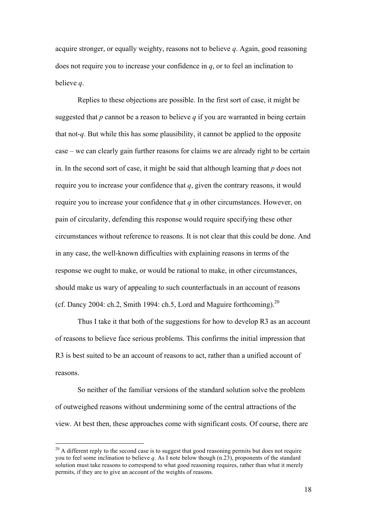acquire stronger, or equally weighty, reasons not to believe *q*. Again, good reasoning does not require you to increase your confidence in *q*, or to feel an inclination to believe *q*.

Replies to these objections are possible. In the first sort of case, it might be suggested that  $p$  cannot be a reason to believe  $q$  if you are warranted in being certain that not-*q*. But while this has some plausibility, it cannot be applied to the opposite case – we can clearly gain further reasons for claims we are already right to be certain in. In the second sort of case, it might be said that although learning that *p* does not require you to increase your confidence that *q*, given the contrary reasons, it would require you to increase your confidence that *q* in other circumstances. However, on pain of circularity, defending this response would require specifying these other circumstances without reference to reasons. It is not clear that this could be done. And in any case, the well-known difficulties with explaining reasons in terms of the response we ought to make, or would be rational to make, in other circumstances, should make us wary of appealing to such counterfactuals in an account of reasons (cf. Dancy 2004: ch.2, Smith 1994: ch.5, Lord and Maguire forthcoming).<sup>20</sup>

Thus I take it that both of the suggestions for how to develop R3 as an account of reasons to believe face serious problems. This confirms the initial impression that R3 is best suited to be an account of reasons to act, rather than a unified account of reasons.

So neither of the familiar versions of the standard solution solve the problem of outweighed reasons without undermining some of the central attractions of the view. At best then, these approaches come with significant costs. Of course, there are

 $20$  A different reply to the second case is to suggest that good reasoning permits but does not require you to feel some inclination to believe *q*. As I note below though (n.23), proponents of the standard solution must take reasons to correspond to what good reasoning requires, rather than what it merely permits, if they are to give an account of the weights of reasons.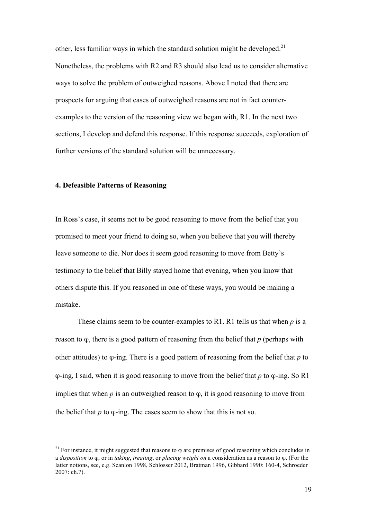other, less familiar ways in which the standard solution might be developed.<sup>21</sup> Nonetheless, the problems with R2 and R3 should also lead us to consider alternative ways to solve the problem of outweighed reasons. Above I noted that there are prospects for arguing that cases of outweighed reasons are not in fact counterexamples to the version of the reasoning view we began with, R1. In the next two sections, I develop and defend this response. If this response succeeds, exploration of further versions of the standard solution will be unnecessary.

#### **4. Defeasible Patterns of Reasoning**

In Ross's case, it seems not to be good reasoning to move from the belief that you promised to meet your friend to doing so, when you believe that you will thereby leave someone to die. Nor does it seem good reasoning to move from Betty's testimony to the belief that Billy stayed home that evening, when you know that others dispute this. If you reasoned in one of these ways, you would be making a mistake.

These claims seem to be counter-examples to R1. R1 tells us that when *p* is a reason to  $\varphi$ , there is a good pattern of reasoning from the belief that *p* (perhaps with other attitudes) to  $\varphi$ -ing. There is a good pattern of reasoning from the belief that *p* to ϕ-ing, I said, when it is good reasoning to move from the belief that *p* to ϕ-ing. So R1 implies that when  $p$  is an outweighed reason to  $\varphi$ , it is good reasoning to move from the belief that  $p$  to  $\varphi$ -ing. The cases seem to show that this is not so.

<sup>&</sup>lt;sup>21</sup> For instance, it might suggested that reasons to  $\varphi$  are premises of good reasoning which concludes in a *disposition* to ϕ, or in *taking*, *treating*, or *placing weight on* a consideration as a reason to ϕ. (For the latter notions, see, e.g. Scanlon 1998, Schlosser 2012, Bratman 1996, Gibbard 1990: 160-4, Schroeder 2007: ch.7).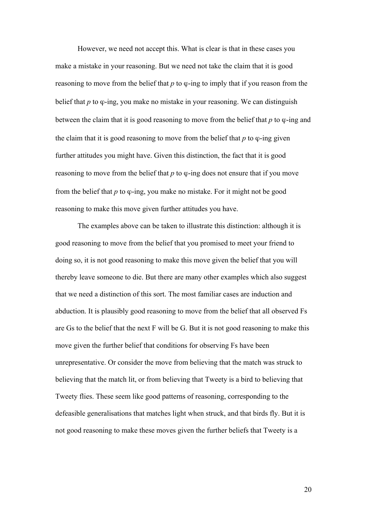However, we need not accept this. What is clear is that in these cases you make a mistake in your reasoning. But we need not take the claim that it is good reasoning to move from the belief that  $p$  to  $\varphi$ -ing to imply that if you reason from the belief that  $p$  to  $\varphi$ -ing, you make no mistake in your reasoning. We can distinguish between the claim that it is good reasoning to move from the belief that *p* to ϕ-ing and the claim that it is good reasoning to move from the belief that  $p$  to  $\varphi$ -ing given further attitudes you might have. Given this distinction, the fact that it is good reasoning to move from the belief that  $p$  to  $\varphi$ -ing does not ensure that if you move from the belief that  $p$  to  $\varphi$ -ing, you make no mistake. For it might not be good reasoning to make this move given further attitudes you have.

The examples above can be taken to illustrate this distinction: although it is good reasoning to move from the belief that you promised to meet your friend to doing so, it is not good reasoning to make this move given the belief that you will thereby leave someone to die. But there are many other examples which also suggest that we need a distinction of this sort. The most familiar cases are induction and abduction. It is plausibly good reasoning to move from the belief that all observed Fs are Gs to the belief that the next F will be G. But it is not good reasoning to make this move given the further belief that conditions for observing Fs have been unrepresentative. Or consider the move from believing that the match was struck to believing that the match lit, or from believing that Tweety is a bird to believing that Tweety flies. These seem like good patterns of reasoning, corresponding to the defeasible generalisations that matches light when struck, and that birds fly. But it is not good reasoning to make these moves given the further beliefs that Tweety is a

20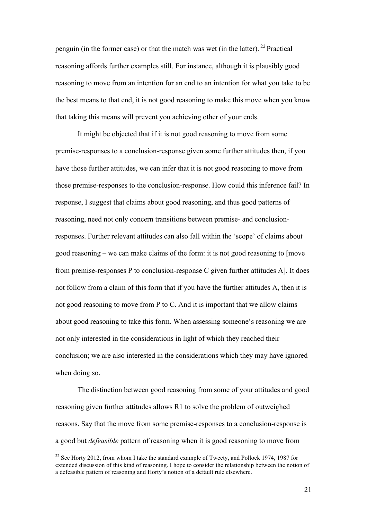penguin (in the former case) or that the match was wet (in the latter). <sup>22</sup> Practical reasoning affords further examples still. For instance, although it is plausibly good reasoning to move from an intention for an end to an intention for what you take to be the best means to that end, it is not good reasoning to make this move when you know that taking this means will prevent you achieving other of your ends.

It might be objected that if it is not good reasoning to move from some premise-responses to a conclusion-response given some further attitudes then, if you have those further attitudes, we can infer that it is not good reasoning to move from those premise-responses to the conclusion-response. How could this inference fail? In response, I suggest that claims about good reasoning, and thus good patterns of reasoning, need not only concern transitions between premise- and conclusionresponses. Further relevant attitudes can also fall within the 'scope' of claims about good reasoning – we can make claims of the form: it is not good reasoning to [move from premise-responses P to conclusion-response C given further attitudes A]. It does not follow from a claim of this form that if you have the further attitudes A, then it is not good reasoning to move from P to C. And it is important that we allow claims about good reasoning to take this form. When assessing someone's reasoning we are not only interested in the considerations in light of which they reached their conclusion; we are also interested in the considerations which they may have ignored when doing so.

The distinction between good reasoning from some of your attitudes and good reasoning given further attitudes allows R1 to solve the problem of outweighed reasons. Say that the move from some premise-responses to a conclusion-response is a good but *defeasible* pattern of reasoning when it is good reasoning to move from

<sup>&</sup>lt;sup>22</sup> See Horty 2012, from whom I take the standard example of Tweety, and Pollock 1974, 1987 for extended discussion of this kind of reasoning. I hope to consider the relationship between the notion of a defeasible pattern of reasoning and Horty's notion of a default rule elsewhere.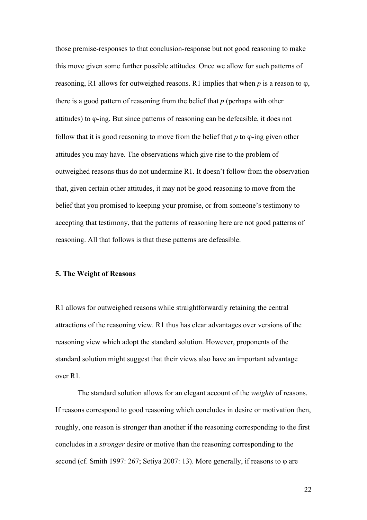those premise-responses to that conclusion-response but not good reasoning to make this move given some further possible attitudes. Once we allow for such patterns of reasoning, R1 allows for outweighed reasons. R1 implies that when  $p$  is a reason to  $\varphi$ , there is a good pattern of reasoning from the belief that *p* (perhaps with other attitudes) to ϕ-ing. But since patterns of reasoning can be defeasible, it does not follow that it is good reasoning to move from the belief that  $p$  to  $\varphi$ -ing given other attitudes you may have. The observations which give rise to the problem of outweighed reasons thus do not undermine R1. It doesn't follow from the observation that, given certain other attitudes, it may not be good reasoning to move from the belief that you promised to keeping your promise, or from someone's testimony to accepting that testimony, that the patterns of reasoning here are not good patterns of reasoning. All that follows is that these patterns are defeasible.

## **5. The Weight of Reasons**

R1 allows for outweighed reasons while straightforwardly retaining the central attractions of the reasoning view. R1 thus has clear advantages over versions of the reasoning view which adopt the standard solution. However, proponents of the standard solution might suggest that their views also have an important advantage over R1.

The standard solution allows for an elegant account of the *weights* of reasons. If reasons correspond to good reasoning which concludes in desire or motivation then, roughly, one reason is stronger than another if the reasoning corresponding to the first concludes in a *stronger* desire or motive than the reasoning corresponding to the second (cf. Smith 1997: 267; Setiya 2007: 13). More generally, if reasons to φ are

22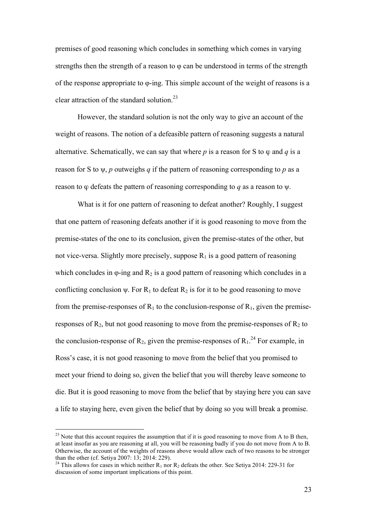premises of good reasoning which concludes in something which comes in varying strengths then the strength of a reason to φ can be understood in terms of the strength of the response appropriate to φ-ing. This simple account of the weight of reasons is a clear attraction of the standard solution.23

However, the standard solution is not the only way to give an account of the weight of reasons. The notion of a defeasible pattern of reasoning suggests a natural alternative. Schematically, we can say that where  $p$  is a reason for S to  $\varphi$  and  $q$  is a reason for S to ψ, *p* outweighs *q* if the pattern of reasoning corresponding to *p* as a reason to ϕ defeats the pattern of reasoning corresponding to *q* as a reason to ψ.

What is it for one pattern of reasoning to defeat another? Roughly, I suggest that one pattern of reasoning defeats another if it is good reasoning to move from the premise-states of the one to its conclusion, given the premise-states of the other, but not vice-versa. Slightly more precisely, suppose  $R_1$  is a good pattern of reasoning which concludes in  $\varphi$ -ing and  $R_2$  is a good pattern of reasoning which concludes in a conflicting conclusion  $\psi$ . For R<sub>1</sub> to defeat R<sub>2</sub> is for it to be good reasoning to move from the premise-responses of  $R_1$  to the conclusion-response of  $R_1$ , given the premiseresponses of  $\mathbb{R}_2$ , but not good reasoning to move from the premise-responses of  $\mathbb{R}_2$  to the conclusion-response of  $R_2$ , given the premise-responses of  $R_1$ <sup>24</sup>. For example, in Ross's case, it is not good reasoning to move from the belief that you promised to meet your friend to doing so, given the belief that you will thereby leave someone to die. But it is good reasoning to move from the belief that by staying here you can save a life to staying here, even given the belief that by doing so you will break a promise.

 $^{23}$  Note that this account requires the assumption that if it is good reasoning to move from A to B then, at least insofar as you are reasoning at all, you will be reasoning badly if you do not move from A to B. Otherwise, the account of the weights of reasons above would allow each of two reasons to be stronger than the other (cf. Setiva 2007: 13: 2014: 229).

<sup>&</sup>lt;sup>24</sup> This allows for cases in which neither R<sub>1</sub> nor R<sub>2</sub> defeats the other. See Setiya 2014: 229-31 for discussion of some important implications of this point.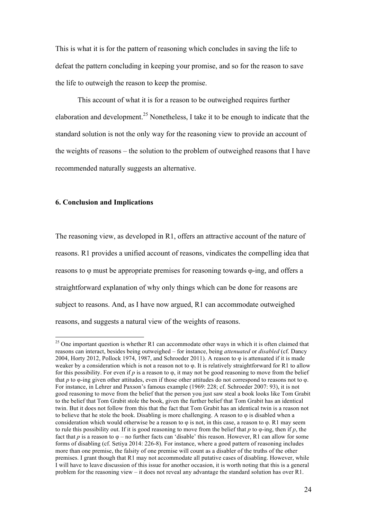This is what it is for the pattern of reasoning which concludes in saving the life to defeat the pattern concluding in keeping your promise, and so for the reason to save the life to outweigh the reason to keep the promise.

This account of what it is for a reason to be outweighed requires further elaboration and development.<sup>25</sup> Nonetheless, I take it to be enough to indicate that the standard solution is not the only way for the reasoning view to provide an account of the weights of reasons – the solution to the problem of outweighed reasons that I have recommended naturally suggests an alternative.

#### **6. Conclusion and Implications**

The reasoning view, as developed in R1, offers an attractive account of the nature of reasons. R1 provides a unified account of reasons, vindicates the compelling idea that reasons to φ must be appropriate premises for reasoning towards φ-ing, and offers a straightforward explanation of why only things which can be done for reasons are subject to reasons. And, as I have now argued, R1 can accommodate outweighed reasons, and suggests a natural view of the weights of reasons.

 $25$  One important question is whether R1 can accommodate other ways in which it is often claimed that reasons can interact, besides being outweighed – for instance, being *attenuated* or *disabled* (cf. Dancy 2004, Horty 2012, Pollock 1974, 1987, and Schroeder 2011). A reason to  $\varphi$  is attenuated if it is made weaker by a consideration which is not a reason not to  $\varphi$ . It is relatively straightforward for R1 to allow for this possibility. For even if *p* is a reason to φ, it may not be good reasoning to move from the belief that *p* to φ-ing given other attitudes, even if those other attitudes do not correspond to reasons not to φ. For instance, in Lehrer and Paxson's famous example (1969: 228; cf. Schroeder 2007: 93), it is not good reasoning to move from the belief that the person you just saw steal a book looks like Tom Grabit to the belief that Tom Grabit stole the book, given the further belief that Tom Grabit has an identical twin. But it does not follow from this that the fact that Tom Grabit has an identical twin is a reason not to believe that he stole the book. Disabling is more challenging. A reason to  $\varphi$  is disabled when a consideration which would otherwise be a reason to  $\varphi$  is not, in this case, a reason to  $\varphi$ . R1 may seem to rule this possibility out. If it is good reasoning to move from the belief that *p* to φ-ing, then if *p*, the fact that *p* is a reason to φ – no further facts can 'disable' this reason. However, R1 can allow for some forms of disabling (cf. Setiya 2014: 226-8). For instance, where a good pattern of reasoning includes more than one premise, the falsity of one premise will count as a disabler of the truths of the other premises. I grant though that R1 may not accommodate all putative cases of disabling. However, while I will have to leave discussion of this issue for another occasion, it is worth noting that this is a general problem for the reasoning view – it does not reveal any advantage the standard solution has over R1.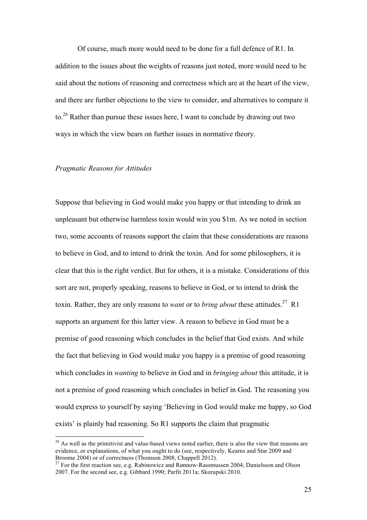Of course, much more would need to be done for a full defence of R1. In addition to the issues about the weights of reasons just noted, more would need to be said about the notions of reasoning and correctness which are at the heart of the view, and there are further objections to the view to consider, and alternatives to compare it to.26 Rather than pursue these issues here, I want to conclude by drawing out two ways in which the view bears on further issues in normative theory.

## *Pragmatic Reasons for Attitudes*

Suppose that believing in God would make you happy or that intending to drink an unpleasant but otherwise harmless toxin would win you \$1m. As we noted in section two, some accounts of reasons support the claim that these considerations are reasons to believe in God, and to intend to drink the toxin. And for some philosophers, it is clear that this is the right verdict. But for others, it is a mistake. Considerations of this sort are not, properly speaking, reasons to believe in God, or to intend to drink the toxin. Rather, they are only reasons to *want* or to *bring about* these attitudes.<sup>27</sup> R1 supports an argument for this latter view. A reason to believe in God must be a premise of good reasoning which concludes in the belief that God exists. And while the fact that believing in God would make you happy is a premise of good reasoning which concludes in *wanting* to believe in God and in *bringing about* this attitude, it is not a premise of good reasoning which concludes in belief in God. The reasoning you would express to yourself by saying 'Believing in God would make me happy, so God exists' is plainly bad reasoning. So R1 supports the claim that pragmatic

<sup>&</sup>lt;sup>26</sup> As well as the primitivist and value-based views noted earlier, there is also the view that reasons are evidence, or explanations, of what you ought to do (see, respectively, Kearns and Star 2009 and Broome 2004) or of correctness (Thomson 2008, Chappell 2012).

<sup>&</sup>lt;sup>27</sup> For the first reaction see, e.g. Rabinowicz and Rønnow-Rassmussen 2004; Danielsson and Olson 2007. For the second see, e.g. Gibbard 1990; Parfit 2011a; Skorupski 2010.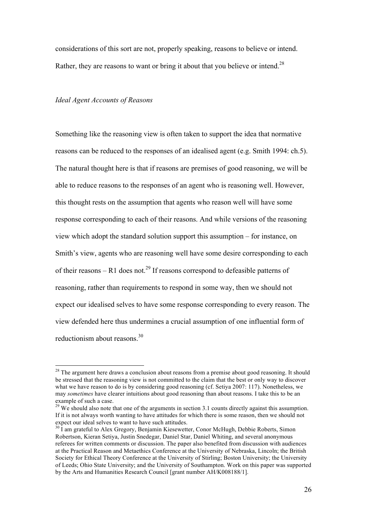considerations of this sort are not, properly speaking, reasons to believe or intend. Rather, they are reasons to want or bring it about that you believe or intend.<sup>28</sup>

#### *Ideal Agent Accounts of Reasons*

Something like the reasoning view is often taken to support the idea that normative reasons can be reduced to the responses of an idealised agent (e.g. Smith 1994: ch.5). The natural thought here is that if reasons are premises of good reasoning, we will be able to reduce reasons to the responses of an agent who is reasoning well. However, this thought rests on the assumption that agents who reason well will have some response corresponding to each of their reasons. And while versions of the reasoning view which adopt the standard solution support this assumption – for instance, on Smith's view, agents who are reasoning well have some desire corresponding to each of their reasons – R1 does not.<sup>29</sup> If reasons correspond to defeasible patterns of reasoning, rather than requirements to respond in some way, then we should not expect our idealised selves to have some response corresponding to every reason. The view defended here thus undermines a crucial assumption of one influential form of reductionism about reasons.<sup>30</sup>

<sup>&</sup>lt;sup>28</sup> The argument here draws a conclusion about reasons from a premise about good reasoning. It should be stressed that the reasoning view is not committed to the claim that the best or only way to discover what we have reason to do is by considering good reasoning (cf. Setiya 2007: 117). Nonetheless, we may *sometimes* have clearer intuitions about good reasoning than about reasons. I take this to be an

 $^{29}$  We should also note that one of the arguments in section 3.1 counts directly against this assumption. If it is not always worth wanting to have attitudes for which there is some reason, then we should not expect our ideal selves to want to have such attitudes.

<sup>&</sup>lt;sup>30</sup> I am grateful to Alex Gregory, Benjamin Kiesewetter, Conor McHugh, Debbie Roberts, Simon Robertson, Kieran Setiya, Justin Snedegar, Daniel Star, Daniel Whiting, and several anonymous referees for written comments or discussion. The paper also benefited from discussion with audiences at the Practical Reason and Metaethics Conference at the University of Nebraska, Lincoln; the British Society for Ethical Theory Conference at the University of Stirling; Boston University; the University of Leeds; Ohio State University; and the University of Southampton. Work on this paper was supported by the Arts and Humanities Research Council [grant number AH/K008188/1].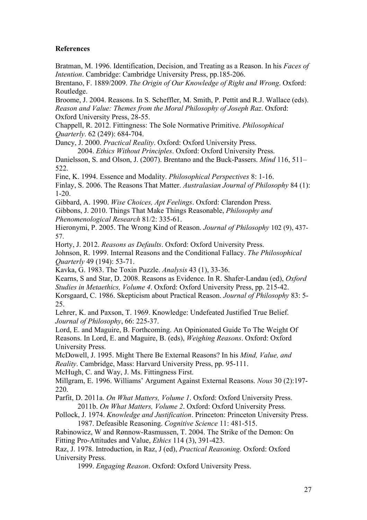# **References**

Bratman, M. 1996. Identification, Decision, and Treating as a Reason. In his *Faces of Intention*. Cambridge: Cambridge University Press, pp.185-206.

Brentano, F. 1889/2009. *The Origin of Our Knowledge of Right and Wrong*. Oxford: Routledge.

Broome, J. 2004. Reasons. In S. Scheffler, M. Smith, P. Pettit and R.J. Wallace (eds). *Reason and Value: Themes from the Moral Philosophy of Joseph Raz*. Oxford: Oxford University Press, 28-55.

Chappell, R. 2012. Fittingness: The Sole Normative Primitive. *Philosophical Quarterly*. 62 (249): 684-704.

Dancy, J. 2000. *Practical Reality*. Oxford: Oxford University Press.

2004. *Ethics Without Principles*. Oxford: Oxford University Press. Danielsson, S. and Olson, J. (2007). Brentano and the Buck-Passers. *Mind* 116, 511– 522.

Fine, K. 1994. Essence and Modality. *Philosophical Perspectives* 8: 1-16. Finlay, S. 2006. The Reasons That Matter. *Australasian Journal of Philosophy* 84 (1): 1-20.

Gibbard, A. 1990. *Wise Choices, Apt Feelings*. Oxford: Clarendon Press.

Gibbons, J. 2010. Things That Make Things Reasonable, *Philosophy and Phenomenological Research* 81/2: 335-61.

Hieronymi, P. 2005. The Wrong Kind of Reason. *Journal of Philosophy* 102 (9), 437- 57.

Horty, J. 2012. *Reasons as Defaults*. Oxford: Oxford University Press.

Johnson, R. 1999. Internal Reasons and the Conditional Fallacy. *The Philosophical Quarterly* 49 (194): 53-71.

Kavka, G. 1983. The Toxin Puzzle. *Analysis* 43 (1), 33-36.

Kearns, S and Star, D. 2008. Reasons as Evidence. In R. Shafer-Landau (ed), *Oxford Studies in Metaethics, Volume 4*. Oxford: Oxford University Press, pp. 215-42.

Korsgaard, C. 1986. Skepticism about Practical Reason. *Journal of Philosophy* 83: 5- 25.

Lehrer, K. and Paxson, T. 1969. Knowledge: Undefeated Justified True Belief. *Journal of Philosophy*, 66: 225-37.

Lord, E. and Maguire, B. Forthcoming. An Opinionated Guide To The Weight Of Reasons. In Lord, E. and Maguire, B. (eds), *Weighing Reasons*. Oxford: Oxford University Press.

McDowell, J. 1995. Might There Be External Reasons? In his *Mind, Value, and Reality*. Cambridge, Mass: Harvard University Press, pp. 95-111.

McHugh, C. and Way, J. Ms. Fittingness First.

Millgram, E. 1996. Williams' Argument Against External Reasons. *Nous* 30 (2):197- 220.

Parfit, D. 2011a. *On What Matters, Volume 1*. Oxford: Oxford University Press. 2011b. *On What Matters, Volume 2*. Oxford: Oxford University Press.

Pollock, J. 1974. *Knowledge and Justification*. Princeton: Princeton University Press. 1987. Defeasible Reasoning. *Cognitive Science* 11: 481-515.

Rabinowicz, W and Rønnow-Rasmussen, T. 2004. The Strike of the Demon: On Fitting Pro-Attitudes and Value, *Ethics* 114 (3), 391-423.

Raz, J. 1978. Introduction, in Raz, J (ed), *Practical Reasoning*. Oxford: Oxford University Press.

1999. *Engaging Reason*. Oxford: Oxford University Press.